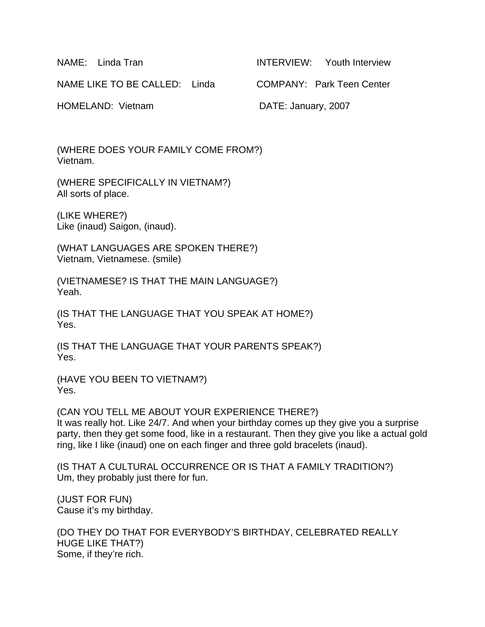NAME: Linda Tran INTERVIEW: Youth Interview

NAME LIKE TO BE CALLED: Linda COMPANY: Park Teen Center

HOMELAND: Vietnam DATE: January, 2007

(WHERE DOES YOUR FAMILY COME FROM?) Vietnam.

(WHERE SPECIFICALLY IN VIETNAM?) All sorts of place.

(LIKE WHERE?) Like (inaud) Saigon, (inaud).

(WHAT LANGUAGES ARE SPOKEN THERE?) Vietnam, Vietnamese. (smile)

(VIETNAMESE? IS THAT THE MAIN LANGUAGE?) Yeah.

(IS THAT THE LANGUAGE THAT YOU SPEAK AT HOME?) Yes.

(IS THAT THE LANGUAGE THAT YOUR PARENTS SPEAK?) Yes.

(HAVE YOU BEEN TO VIETNAM?) Yes.

(CAN YOU TELL ME ABOUT YOUR EXPERIENCE THERE?) It was really hot. Like 24/7. And when your birthday comes up they give you a surprise party, then they get some food, like in a restaurant. Then they give you like a actual gold ring, like I like (inaud) one on each finger and three gold bracelets (inaud).

(IS THAT A CULTURAL OCCURRENCE OR IS THAT A FAMILY TRADITION?) Um, they probably just there for fun.

(JUST FOR FUN) Cause it's my birthday.

(DO THEY DO THAT FOR EVERYBODY'S BIRTHDAY, CELEBRATED REALLY HUGE LIKE THAT?) Some, if they're rich.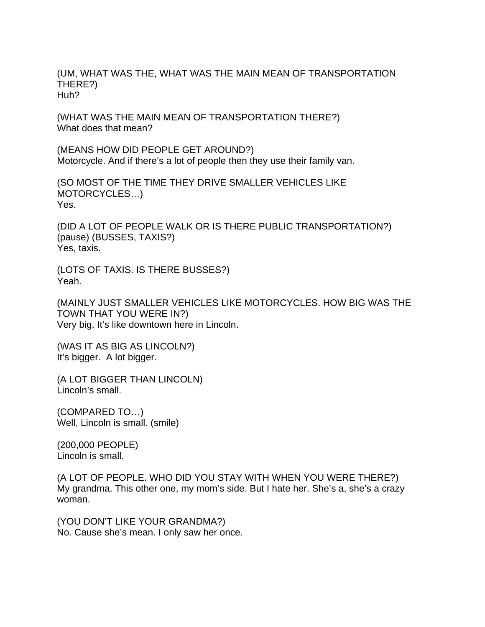(UM, WHAT WAS THE, WHAT WAS THE MAIN MEAN OF TRANSPORTATION THERE?) Huh?

(WHAT WAS THE MAIN MEAN OF TRANSPORTATION THERE?) What does that mean?

(MEANS HOW DID PEOPLE GET AROUND?) Motorcycle. And if there's a lot of people then they use their family van.

(SO MOST OF THE TIME THEY DRIVE SMALLER VEHICLES LIKE MOTORCYCLES…) Yes.

(DID A LOT OF PEOPLE WALK OR IS THERE PUBLIC TRANSPORTATION?) (pause) (BUSSES, TAXIS?) Yes, taxis.

(LOTS OF TAXIS. IS THERE BUSSES?) Yeah.

(MAINLY JUST SMALLER VEHICLES LIKE MOTORCYCLES. HOW BIG WAS THE TOWN THAT YOU WERE IN?) Very big. It's like downtown here in Lincoln.

(WAS IT AS BIG AS LINCOLN?) It's bigger. A lot bigger.

(A LOT BIGGER THAN LINCOLN) Lincoln's small.

(COMPARED TO…) Well, Lincoln is small. (smile)

(200,000 PEOPLE) Lincoln is small.

(A LOT OF PEOPLE. WHO DID YOU STAY WITH WHEN YOU WERE THERE?) My grandma. This other one, my mom's side. But I hate her. She's a, she's a crazy woman.

(YOU DON'T LIKE YOUR GRANDMA?) No. Cause she's mean. I only saw her once.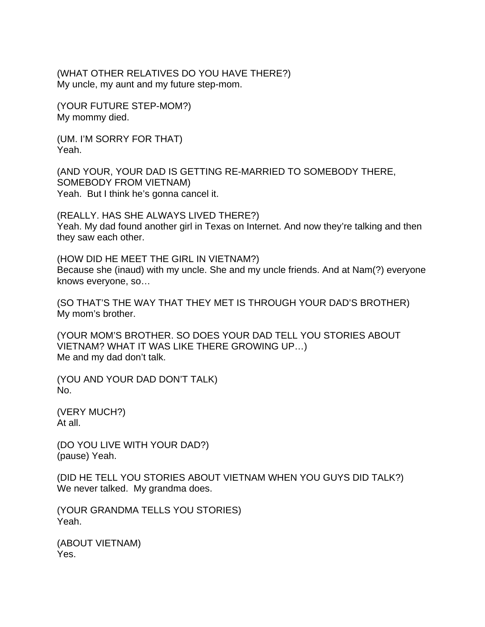(WHAT OTHER RELATIVES DO YOU HAVE THERE?) My uncle, my aunt and my future step-mom.

(YOUR FUTURE STEP-MOM?) My mommy died.

(UM. I'M SORRY FOR THAT) Yeah.

(AND YOUR, YOUR DAD IS GETTING RE-MARRIED TO SOMEBODY THERE, SOMEBODY FROM VIETNAM) Yeah. But I think he's gonna cancel it.

(REALLY. HAS SHE ALWAYS LIVED THERE?) Yeah. My dad found another girl in Texas on Internet. And now they're talking and then they saw each other.

(HOW DID HE MEET THE GIRL IN VIETNAM?) Because she (inaud) with my uncle. She and my uncle friends. And at Nam(?) everyone knows everyone, so…

(SO THAT'S THE WAY THAT THEY MET IS THROUGH YOUR DAD'S BROTHER) My mom's brother.

(YOUR MOM'S BROTHER. SO DOES YOUR DAD TELL YOU STORIES ABOUT VIETNAM? WHAT IT WAS LIKE THERE GROWING UP…) Me and my dad don't talk.

(YOU AND YOUR DAD DON'T TALK) No.

(VERY MUCH?) At all.

(DO YOU LIVE WITH YOUR DAD?) (pause) Yeah.

(DID HE TELL YOU STORIES ABOUT VIETNAM WHEN YOU GUYS DID TALK?) We never talked. My grandma does.

(YOUR GRANDMA TELLS YOU STORIES) Yeah.

(ABOUT VIETNAM) Yes.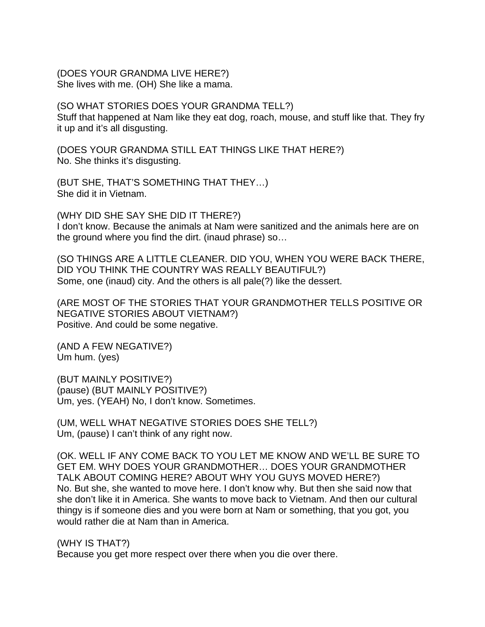#### (DOES YOUR GRANDMA LIVE HERE?) She lives with me. (OH) She like a mama.

### (SO WHAT STORIES DOES YOUR GRANDMA TELL?)

Stuff that happened at Nam like they eat dog, roach, mouse, and stuff like that. They fry it up and it's all disgusting.

(DOES YOUR GRANDMA STILL EAT THINGS LIKE THAT HERE?) No. She thinks it's disgusting.

(BUT SHE, THAT'S SOMETHING THAT THEY…) She did it in Vietnam.

(WHY DID SHE SAY SHE DID IT THERE?) I don't know. Because the animals at Nam were sanitized and the animals here are on the ground where you find the dirt. (inaud phrase) so…

(SO THINGS ARE A LITTLE CLEANER. DID YOU, WHEN YOU WERE BACK THERE, DID YOU THINK THE COUNTRY WAS REALLY BEAUTIFUL?) Some, one (inaud) city. And the others is all pale(?) like the dessert.

(ARE MOST OF THE STORIES THAT YOUR GRANDMOTHER TELLS POSITIVE OR NEGATIVE STORIES ABOUT VIETNAM?) Positive. And could be some negative.

(AND A FEW NEGATIVE?) Um hum. (yes)

(BUT MAINLY POSITIVE?) (pause) (BUT MAINLY POSITIVE?) Um, yes. (YEAH) No, I don't know. Sometimes.

(UM, WELL WHAT NEGATIVE STORIES DOES SHE TELL?) Um, (pause) I can't think of any right now.

(OK. WELL IF ANY COME BACK TO YOU LET ME KNOW AND WE'LL BE SURE TO GET EM. WHY DOES YOUR GRANDMOTHER… DOES YOUR GRANDMOTHER TALK ABOUT COMING HERE? ABOUT WHY YOU GUYS MOVED HERE?) No. But she, she wanted to move here. I don't know why. But then she said now that she don't like it in America. She wants to move back to Vietnam. And then our cultural thingy is if someone dies and you were born at Nam or something, that you got, you would rather die at Nam than in America.

(WHY IS THAT?) Because you get more respect over there when you die over there.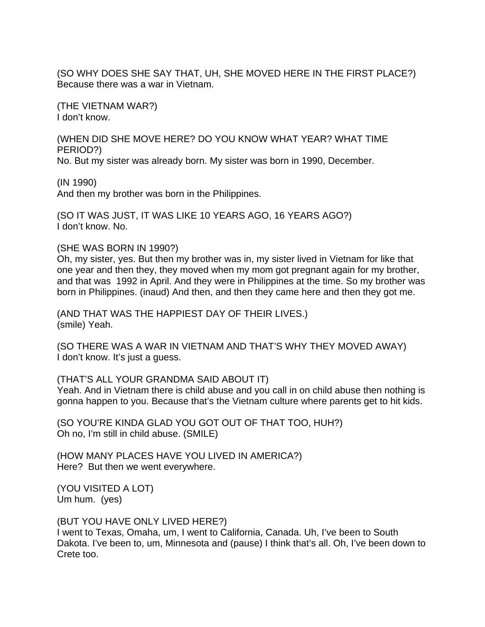(SO WHY DOES SHE SAY THAT, UH, SHE MOVED HERE IN THE FIRST PLACE?) Because there was a war in Vietnam.

(THE VIETNAM WAR?) I don't know.

(WHEN DID SHE MOVE HERE? DO YOU KNOW WHAT YEAR? WHAT TIME PERIOD?)

No. But my sister was already born. My sister was born in 1990, December.

(IN 1990)

And then my brother was born in the Philippines.

(SO IT WAS JUST, IT WAS LIKE 10 YEARS AGO, 16 YEARS AGO?) I don't know. No.

(SHE WAS BORN IN 1990?)

Oh, my sister, yes. But then my brother was in, my sister lived in Vietnam for like that one year and then they, they moved when my mom got pregnant again for my brother, and that was 1992 in April. And they were in Philippines at the time. So my brother was born in Philippines. (inaud) And then, and then they came here and then they got me.

(AND THAT WAS THE HAPPIEST DAY OF THEIR LIVES.) (smile) Yeah.

(SO THERE WAS A WAR IN VIETNAM AND THAT'S WHY THEY MOVED AWAY) I don't know. It's just a guess.

# (THAT'S ALL YOUR GRANDMA SAID ABOUT IT)

Yeah. And in Vietnam there is child abuse and you call in on child abuse then nothing is gonna happen to you. Because that's the Vietnam culture where parents get to hit kids.

(SO YOU'RE KINDA GLAD YOU GOT OUT OF THAT TOO, HUH?) Oh no, I'm still in child abuse. (SMILE)

(HOW MANY PLACES HAVE YOU LIVED IN AMERICA?) Here? But then we went everywhere.

(YOU VISITED A LOT) Um hum. (yes)

(BUT YOU HAVE ONLY LIVED HERE?) I went to Texas, Omaha, um, I went to California, Canada. Uh, I've been to South Dakota. I've been to, um, Minnesota and (pause) I think that's all. Oh, I've been down to Crete too.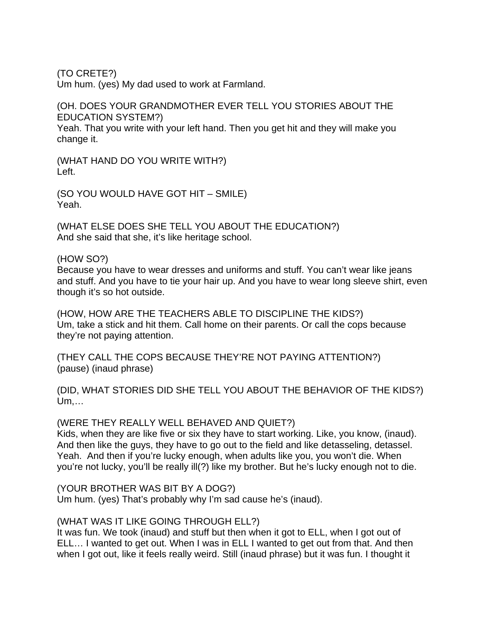(TO CRETE?)

Um hum. (yes) My dad used to work at Farmland.

# (OH. DOES YOUR GRANDMOTHER EVER TELL YOU STORIES ABOUT THE EDUCATION SYSTEM?)

Yeah. That you write with your left hand. Then you get hit and they will make you change it.

(WHAT HAND DO YOU WRITE WITH?) Left.

(SO YOU WOULD HAVE GOT HIT – SMILE) Yeah.

(WHAT ELSE DOES SHE TELL YOU ABOUT THE EDUCATION?) And she said that she, it's like heritage school.

### (HOW SO?)

Because you have to wear dresses and uniforms and stuff. You can't wear like jeans and stuff. And you have to tie your hair up. And you have to wear long sleeve shirt, even though it's so hot outside.

(HOW, HOW ARE THE TEACHERS ABLE TO DISCIPLINE THE KIDS?) Um, take a stick and hit them. Call home on their parents. Or call the cops because they're not paying attention.

(THEY CALL THE COPS BECAUSE THEY'RE NOT PAYING ATTENTION?) (pause) (inaud phrase)

(DID, WHAT STORIES DID SHE TELL YOU ABOUT THE BEHAVIOR OF THE KIDS?) Um,…

### (WERE THEY REALLY WELL BEHAVED AND QUIET?)

Kids, when they are like five or six they have to start working. Like, you know, (inaud). And then like the guys, they have to go out to the field and like detasseling, detassel. Yeah. And then if you're lucky enough, when adults like you, you won't die. When you're not lucky, you'll be really ill(?) like my brother. But he's lucky enough not to die.

### (YOUR BROTHER WAS BIT BY A DOG?)

Um hum. (yes) That's probably why I'm sad cause he's (inaud).

### (WHAT WAS IT LIKE GOING THROUGH ELL?)

It was fun. We took (inaud) and stuff but then when it got to ELL, when I got out of ELL… I wanted to get out. When I was in ELL I wanted to get out from that. And then when I got out, like it feels really weird. Still (inaud phrase) but it was fun. I thought it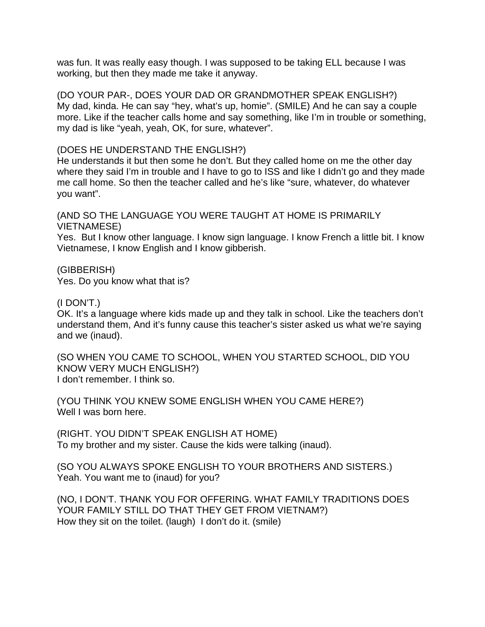was fun. It was really easy though. I was supposed to be taking ELL because I was working, but then they made me take it anyway.

(DO YOUR PAR-, DOES YOUR DAD OR GRANDMOTHER SPEAK ENGLISH?) My dad, kinda. He can say "hey, what's up, homie". (SMILE) And he can say a couple more. Like if the teacher calls home and say something, like I'm in trouble or something, my dad is like "yeah, yeah, OK, for sure, whatever".

### (DOES HE UNDERSTAND THE ENGLISH?)

He understands it but then some he don't. But they called home on me the other day where they said I'm in trouble and I have to go to ISS and like I didn't go and they made me call home. So then the teacher called and he's like "sure, whatever, do whatever you want".

(AND SO THE LANGUAGE YOU WERE TAUGHT AT HOME IS PRIMARILY VIETNAMESE)

Yes. But I know other language. I know sign language. I know French a little bit. I know Vietnamese, I know English and I know gibberish.

(GIBBERISH) Yes. Do you know what that is?

# (I DON'T.)

OK. It's a language where kids made up and they talk in school. Like the teachers don't understand them, And it's funny cause this teacher's sister asked us what we're saying and we (inaud).

(SO WHEN YOU CAME TO SCHOOL, WHEN YOU STARTED SCHOOL, DID YOU KNOW VERY MUCH ENGLISH?) I don't remember. I think so.

(YOU THINK YOU KNEW SOME ENGLISH WHEN YOU CAME HERE?) Well I was born here.

(RIGHT. YOU DIDN'T SPEAK ENGLISH AT HOME) To my brother and my sister. Cause the kids were talking (inaud).

(SO YOU ALWAYS SPOKE ENGLISH TO YOUR BROTHERS AND SISTERS.) Yeah. You want me to (inaud) for you?

(NO, I DON'T. THANK YOU FOR OFFERING. WHAT FAMILY TRADITIONS DOES YOUR FAMILY STILL DO THAT THEY GET FROM VIETNAM?) How they sit on the toilet. (laugh) I don't do it. (smile)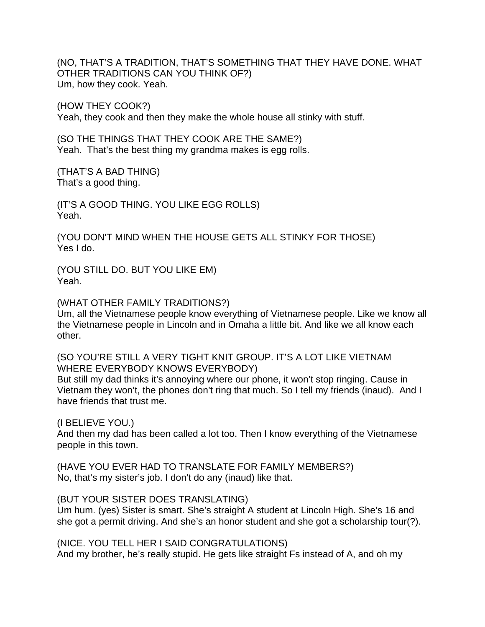(NO, THAT'S A TRADITION, THAT'S SOMETHING THAT THEY HAVE DONE. WHAT OTHER TRADITIONS CAN YOU THINK OF?) Um, how they cook. Yeah.

(HOW THEY COOK?) Yeah, they cook and then they make the whole house all stinky with stuff.

(SO THE THINGS THAT THEY COOK ARE THE SAME?) Yeah. That's the best thing my grandma makes is egg rolls.

(THAT'S A BAD THING) That's a good thing.

(IT'S A GOOD THING. YOU LIKE EGG ROLLS) Yeah.

(YOU DON'T MIND WHEN THE HOUSE GETS ALL STINKY FOR THOSE) Yes I do.

(YOU STILL DO. BUT YOU LIKE EM) Yeah.

(WHAT OTHER FAMILY TRADITIONS?)

Um, all the Vietnamese people know everything of Vietnamese people. Like we know all the Vietnamese people in Lincoln and in Omaha a little bit. And like we all know each other.

(SO YOU'RE STILL A VERY TIGHT KNIT GROUP. IT'S A LOT LIKE VIETNAM WHERE EVERYBODY KNOWS EVERYBODY)

But still my dad thinks it's annoying where our phone, it won't stop ringing. Cause in Vietnam they won't, the phones don't ring that much. So I tell my friends (inaud). And I have friends that trust me.

(I BELIEVE YOU.)

And then my dad has been called a lot too. Then I know everything of the Vietnamese people in this town.

(HAVE YOU EVER HAD TO TRANSLATE FOR FAMILY MEMBERS?) No, that's my sister's job. I don't do any (inaud) like that.

# (BUT YOUR SISTER DOES TRANSLATING)

Um hum. (yes) Sister is smart. She's straight A student at Lincoln High. She's 16 and she got a permit driving. And she's an honor student and she got a scholarship tour(?).

(NICE. YOU TELL HER I SAID CONGRATULATIONS)

And my brother, he's really stupid. He gets like straight Fs instead of A, and oh my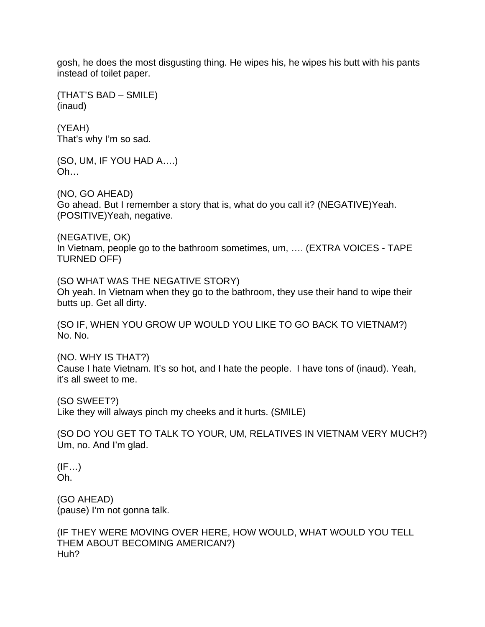gosh, he does the most disgusting thing. He wipes his, he wipes his butt with his pants instead of toilet paper.

(THAT'S BAD – SMILE) (inaud)

(YEAH) That's why I'm so sad.

(SO, UM, IF YOU HAD A….) Oh…

(NO, GO AHEAD) Go ahead. But I remember a story that is, what do you call it? (NEGATIVE)Yeah. (POSITIVE)Yeah, negative.

(NEGATIVE, OK) In Vietnam, people go to the bathroom sometimes, um, …. (EXTRA VOICES - TAPE TURNED OFF)

(SO WHAT WAS THE NEGATIVE STORY) Oh yeah. In Vietnam when they go to the bathroom, they use their hand to wipe their butts up. Get all dirty.

(SO IF, WHEN YOU GROW UP WOULD YOU LIKE TO GO BACK TO VIETNAM?) No. No.

(NO. WHY IS THAT?) Cause I hate Vietnam. It's so hot, and I hate the people. I have tons of (inaud). Yeah, it's all sweet to me.

(SO SWEET?) Like they will always pinch my cheeks and it hurts. (SMILE)

(SO DO YOU GET TO TALK TO YOUR, UM, RELATIVES IN VIETNAM VERY MUCH?) Um, no. And I'm glad.

 $(IF...)$ Oh.

(GO AHEAD) (pause) I'm not gonna talk.

(IF THEY WERE MOVING OVER HERE, HOW WOULD, WHAT WOULD YOU TELL THEM ABOUT BECOMING AMERICAN?) Huh?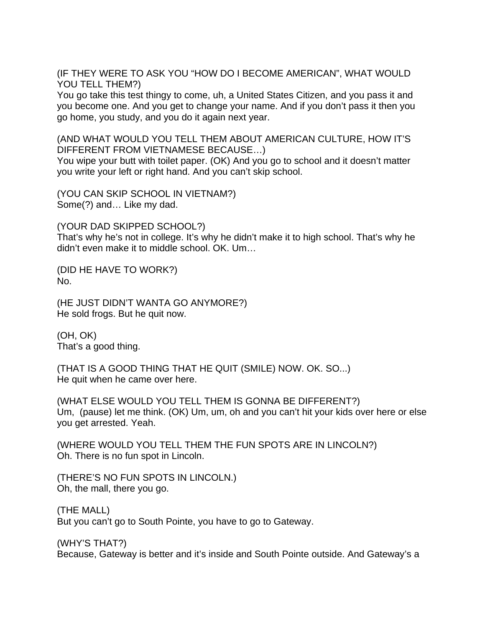(IF THEY WERE TO ASK YOU "HOW DO I BECOME AMERICAN", WHAT WOULD YOU TELL THEM?)

You go take this test thingy to come, uh, a United States Citizen, and you pass it and you become one. And you get to change your name. And if you don't pass it then you go home, you study, and you do it again next year.

(AND WHAT WOULD YOU TELL THEM ABOUT AMERICAN CULTURE, HOW IT'S DIFFERENT FROM VIETNAMESE BECAUSE…)

You wipe your butt with toilet paper. (OK) And you go to school and it doesn't matter you write your left or right hand. And you can't skip school.

(YOU CAN SKIP SCHOOL IN VIETNAM?) Some(?) and… Like my dad.

(YOUR DAD SKIPPED SCHOOL?)

That's why he's not in college. It's why he didn't make it to high school. That's why he didn't even make it to middle school. OK. Um…

(DID HE HAVE TO WORK?) No.

(HE JUST DIDN'T WANTA GO ANYMORE?) He sold frogs. But he quit now.

(OH, OK) That's a good thing.

(THAT IS A GOOD THING THAT HE QUIT (SMILE) NOW. OK. SO...) He quit when he came over here.

(WHAT ELSE WOULD YOU TELL THEM IS GONNA BE DIFFERENT?) Um, (pause) let me think. (OK) Um, um, oh and you can't hit your kids over here or else you get arrested. Yeah.

(WHERE WOULD YOU TELL THEM THE FUN SPOTS ARE IN LINCOLN?) Oh. There is no fun spot in Lincoln.

(THERE'S NO FUN SPOTS IN LINCOLN.) Oh, the mall, there you go.

(THE MALL) But you can't go to South Pointe, you have to go to Gateway.

(WHY'S THAT?) Because, Gateway is better and it's inside and South Pointe outside. And Gateway's a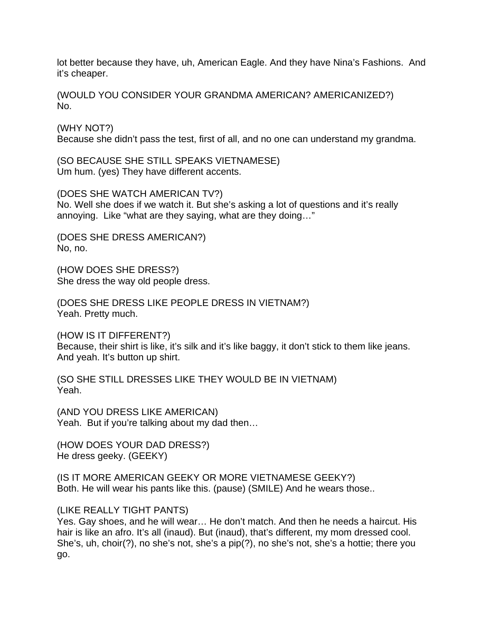lot better because they have, uh, American Eagle. And they have Nina's Fashions. And it's cheaper.

(WOULD YOU CONSIDER YOUR GRANDMA AMERICAN? AMERICANIZED?) No.

(WHY NOT?) Because she didn't pass the test, first of all, and no one can understand my grandma.

(SO BECAUSE SHE STILL SPEAKS VIETNAMESE) Um hum. (yes) They have different accents.

(DOES SHE WATCH AMERICAN TV?) No. Well she does if we watch it. But she's asking a lot of questions and it's really annoying. Like "what are they saying, what are they doing…"

(DOES SHE DRESS AMERICAN?) No, no.

(HOW DOES SHE DRESS?) She dress the way old people dress.

(DOES SHE DRESS LIKE PEOPLE DRESS IN VIETNAM?) Yeah. Pretty much.

(HOW IS IT DIFFERENT?) Because, their shirt is like, it's silk and it's like baggy, it don't stick to them like jeans. And yeah. It's button up shirt.

(SO SHE STILL DRESSES LIKE THEY WOULD BE IN VIETNAM) Yeah.

(AND YOU DRESS LIKE AMERICAN) Yeah. But if you're talking about my dad then…

(HOW DOES YOUR DAD DRESS?) He dress geeky. (GEEKY)

(IS IT MORE AMERICAN GEEKY OR MORE VIETNAMESE GEEKY?) Both. He will wear his pants like this. (pause) (SMILE) And he wears those..

(LIKE REALLY TIGHT PANTS)

Yes. Gay shoes, and he will wear… He don't match. And then he needs a haircut. His hair is like an afro. It's all (inaud). But (inaud), that's different, my mom dressed cool. She's, uh, choir(?), no she's not, she's a pip(?), no she's not, she's a hottie; there you go.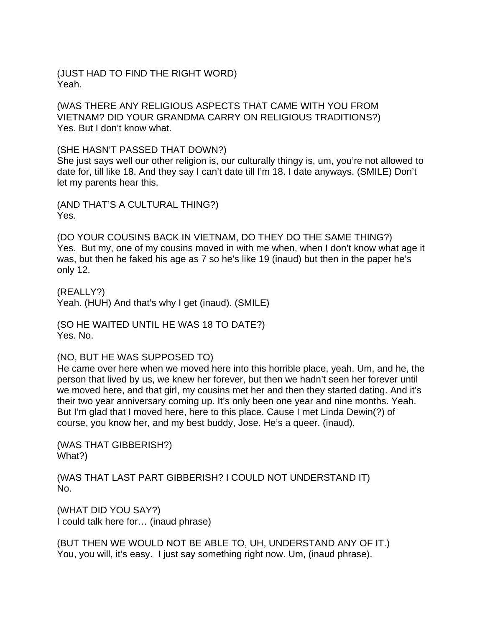(JUST HAD TO FIND THE RIGHT WORD) Yeah.

(WAS THERE ANY RELIGIOUS ASPECTS THAT CAME WITH YOU FROM VIETNAM? DID YOUR GRANDMA CARRY ON RELIGIOUS TRADITIONS?) Yes. But I don't know what.

(SHE HASN'T PASSED THAT DOWN?)

She just says well our other religion is, our culturally thingy is, um, you're not allowed to date for, till like 18. And they say I can't date till I'm 18. I date anyways. (SMILE) Don't let my parents hear this.

(AND THAT'S A CULTURAL THING?) Yes.

(DO YOUR COUSINS BACK IN VIETNAM, DO THEY DO THE SAME THING?) Yes. But my, one of my cousins moved in with me when, when I don't know what age it was, but then he faked his age as 7 so he's like 19 (inaud) but then in the paper he's only 12.

(REALLY?) Yeah. (HUH) And that's why I get (inaud). (SMILE)

(SO HE WAITED UNTIL HE WAS 18 TO DATE?) Yes. No.

(NO, BUT HE WAS SUPPOSED TO)

He came over here when we moved here into this horrible place, yeah. Um, and he, the person that lived by us, we knew her forever, but then we hadn't seen her forever until we moved here, and that girl, my cousins met her and then they started dating. And it's their two year anniversary coming up. It's only been one year and nine months. Yeah. But I'm glad that I moved here, here to this place. Cause I met Linda Dewin(?) of course, you know her, and my best buddy, Jose. He's a queer. (inaud).

(WAS THAT GIBBERISH?) What?)

(WAS THAT LAST PART GIBBERISH? I COULD NOT UNDERSTAND IT) No.

(WHAT DID YOU SAY?) I could talk here for… (inaud phrase)

(BUT THEN WE WOULD NOT BE ABLE TO, UH, UNDERSTAND ANY OF IT.) You, you will, it's easy. I just say something right now. Um, (inaud phrase).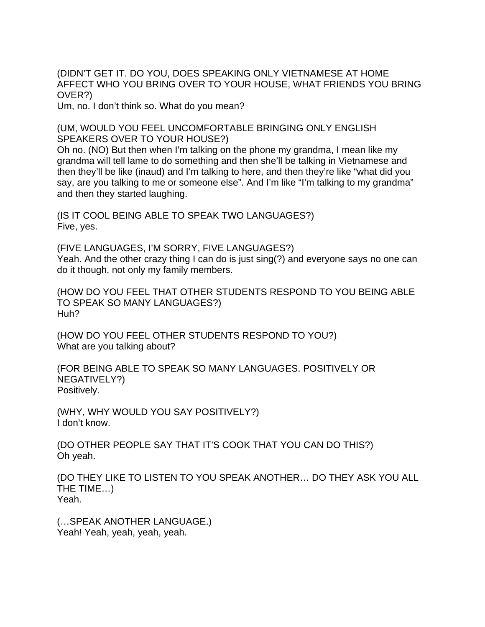(DIDN'T GET IT. DO YOU, DOES SPEAKING ONLY VIETNAMESE AT HOME AFFECT WHO YOU BRING OVER TO YOUR HOUSE, WHAT FRIENDS YOU BRING OVER?)

Um, no. I don't think so. What do you mean?

(UM, WOULD YOU FEEL UNCOMFORTABLE BRINGING ONLY ENGLISH SPEAKERS OVER TO YOUR HOUSE?)

Oh no. (NO) But then when I'm talking on the phone my grandma, I mean like my grandma will tell lame to do something and then she'll be talking in Vietnamese and then they'll be like (inaud) and I'm talking to here, and then they're like "what did you say, are you talking to me or someone else". And I'm like "I'm talking to my grandma" and then they started laughing.

(IS IT COOL BEING ABLE TO SPEAK TWO LANGUAGES?) Five, yes.

(FIVE LANGUAGES, I'M SORRY, FIVE LANGUAGES?) Yeah. And the other crazy thing I can do is just sing(?) and everyone says no one can do it though, not only my family members.

(HOW DO YOU FEEL THAT OTHER STUDENTS RESPOND TO YOU BEING ABLE TO SPEAK SO MANY LANGUAGES?) Huh?

(HOW DO YOU FEEL OTHER STUDENTS RESPOND TO YOU?) What are you talking about?

(FOR BEING ABLE TO SPEAK SO MANY LANGUAGES. POSITIVELY OR NEGATIVELY?) Positively.

(WHY, WHY WOULD YOU SAY POSITIVELY?) I don't know.

(DO OTHER PEOPLE SAY THAT IT'S COOK THAT YOU CAN DO THIS?) Oh yeah.

(DO THEY LIKE TO LISTEN TO YOU SPEAK ANOTHER… DO THEY ASK YOU ALL THE TIME…) Yeah.

(…SPEAK ANOTHER LANGUAGE.) Yeah! Yeah, yeah, yeah, yeah.